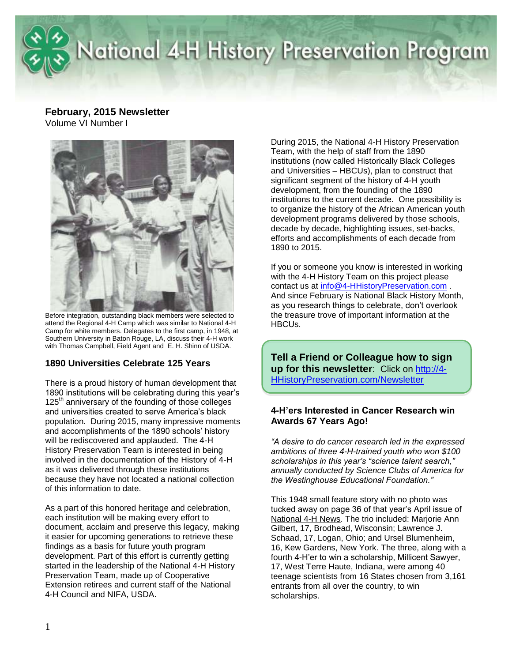

### **February, 2015 Newsletter** Volume VI Number I



attend the Regional 4-H Camp which was similar to National 4-H Camp for white members. Delegates to the first camp, in 1948, at Southern University in Baton Rouge, LA, discuss their 4-H work with Thomas Campbell, Field Agent and E. H. Shinn of USDA.

### **1890 Universities Celebrate 125 Years**

There is a proud history of human development that 1890 institutions will be celebrating during this year's 125<sup>th</sup> anniversary of the founding of those colleges and universities created to serve America's black population. During 2015, many impressive moments and accomplishments of the 1890 schools' history will be rediscovered and applauded. The 4-H History Preservation Team is interested in being involved in the documentation of the History of 4-H as it was delivered through these institutions because they have not located a national collection of this information to date.

As a part of this honored heritage and celebration, each institution will be making every effort to document, acclaim and preserve this legacy, making it easier for upcoming generations to retrieve these findings as a basis for future youth program development. Part of this effort is currently getting started in the leadership of the National 4-H History Preservation Team, made up of Cooperative Extension retirees and current staff of the National 4-H Council and NIFA, USDA.

During 2015, the National 4-H History Preservation Team, with the help of staff from the 1890 institutions (now called Historically Black Colleges and Universities – HBCUs), plan to construct that significant segment of the history of 4-H youth development, from the founding of the 1890 institutions to the current decade. One possibility is to organize the history of the African American youth development programs delivered by those schools, decade by decade, highlighting issues, set-backs, efforts and accomplishments of each decade from 1890 to 2015.

If you or someone you know is interested in working with the 4-H History Team on this project please contact us at [info@4-HHistoryPreservation.com](mailto:info@4-HHistoryPreservation.com) . And since February is National Black History Month, as you research things to celebrate, don't overlook the treasure trove of important information at the HBCUs.

**Tell a Friend or Colleague how to sign up for this newsletter**: Click on [http://4-](http://4-hhistorypreservation.com/Newsletter) [HHistoryPreservation.com/Newsletter](http://4-hhistorypreservation.com/Newsletter)

#### **4-H'ers Interested in Cancer Research win Awards 67 Years Ago!**

*"A desire to do cancer research led in the expressed ambitions of three 4-H-trained youth who won \$100 scholarships in this year's "science talent search," annually conducted by Science Clubs of America for the Westinghouse Educational Foundation."*

This 1948 small feature story with no photo was tucked away on page 36 of that year's April issue of National 4-H News. The trio included: Marjorie Ann Gilbert, 17, Brodhead, Wisconsin; Lawrence J. Schaad, 17, Logan, Ohio; and Ursel Blumenheim, 16, Kew Gardens, New York. The three, along with a fourth 4-H'er to win a scholarship, Millicent Sawyer, 17, West Terre Haute, Indiana, were among 40 teenage scientists from 16 States chosen from 3,161 entrants from all over the country, to win scholarships.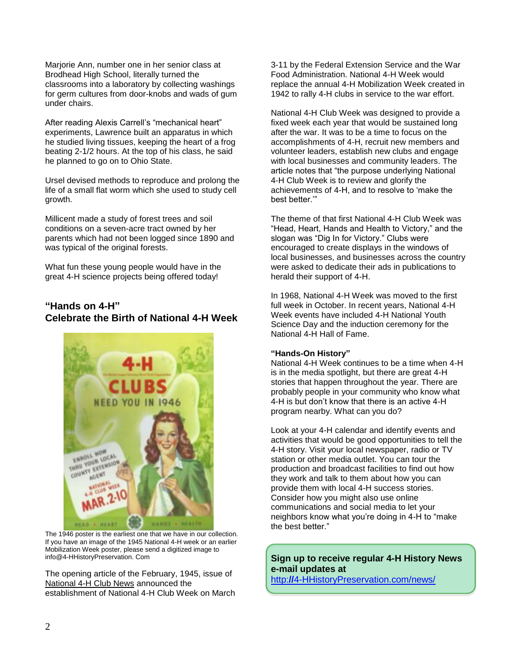Marjorie Ann, number one in her senior class at Brodhead High School, literally turned the classrooms into a laboratory by collecting washings for germ cultures from door-knobs and wads of gum under chairs.

After reading Alexis Carrell's "mechanical heart" experiments, Lawrence built an apparatus in which he studied living tissues, keeping the heart of a frog beating 2-1/2 hours. At the top of his class, he said he planned to go on to Ohio State.

Ursel devised methods to reproduce and prolong the life of a small flat worm which she used to study cell growth.

Millicent made a study of forest trees and soil conditions on a seven-acre tract owned by her parents which had not been logged since 1890 and was typical of the original forests.

What fun these young people would have in the great 4-H science projects being offered today!

# **"Hands on 4-H" Celebrate the Birth of National 4-H Week**



The 1946 poster is the earliest one that we have in our collection. If you have an image of the 1945 National 4-H week or an earlier Mobilization Week poster, please send a digitized image to info@4-HHistoryPreservation. Com

The opening article of the February, 1945, issue of National 4-H Club News announced the establishment of National 4-H Club Week on March 3-11 by the Federal Extension Service and the War Food Administration. National 4-H Week would replace the annual 4-H Mobilization Week created in 1942 to rally 4-H clubs in service to the war effort.

National 4-H Club Week was designed to provide a fixed week each year that would be sustained long after the war. It was to be a time to focus on the accomplishments of 4-H, recruit new members and volunteer leaders, establish new clubs and engage with local businesses and community leaders. The article notes that "the purpose underlying National 4-H Club Week is to review and glorify the achievements of 4-H, and to resolve to 'make the best better.'"

The theme of that first National 4-H Club Week was "Head, Heart, Hands and Health to Victory," and the slogan was "Dig In for Victory." Clubs were encouraged to create displays in the windows of local businesses, and businesses across the country were asked to dedicate their ads in publications to herald their support of 4-H.

In 1968, National 4-H Week was moved to the first full week in October. In recent years, National 4-H Week events have included 4-H National Youth Science Day and the induction ceremony for the National 4-H Hall of Fame.

#### **"Hands-On History"**

National 4-H Week continues to be a time when 4-H is in the media spotlight, but there are great 4-H stories that happen throughout the year. There are probably people in your community who know what 4-H is but don't know that there is an active 4-H program nearby. What can you do?

Look at your 4-H calendar and identify events and activities that would be good opportunities to tell the 4-H story. Visit your local newspaper, radio or TV station or other media outlet. You can tour the production and broadcast facilities to find out how they work and talk to them about how you can provide them with local 4-H success stories. Consider how you might also use online communications and social media to let your neighbors know what you're doing in 4-H to "make the best better."

### **Sign up to receive regular 4-H History News e-mail updates at**

http:**//**[4-HHistoryPreservation.com/news/](http://4-hhistorypreservation.com/news/)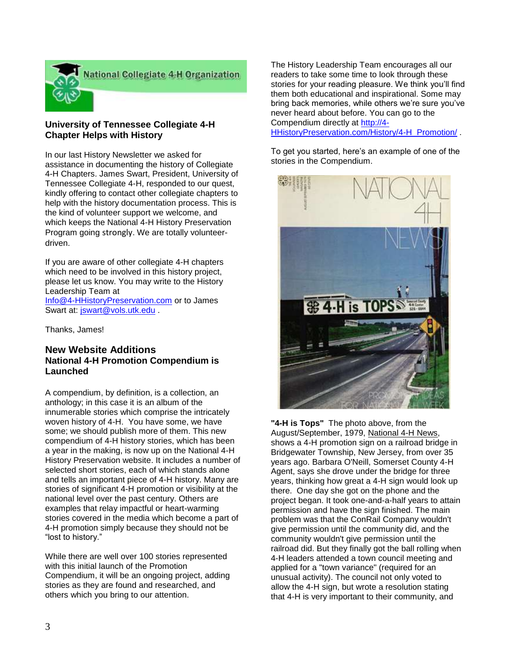

#### **University of Tennessee Collegiate 4-H Chapter Helps with History**

In our last History Newsletter we asked for assistance in documenting the history of Collegiate 4-H Chapters. James Swart, President, University of Tennessee Collegiate 4-H, responded to our quest, kindly offering to contact other collegiate chapters to help with the history documentation process. This is the kind of volunteer support we welcome, and which keeps the National 4-H History Preservation Program going strongly. We are totally volunteerdriven.

If you are aware of other collegiate 4-H chapters which need to be involved in this history project, please let us know. You may write to the History Leadership Team at [Info@4-HHistoryPreservation.com](mailto:Info@4-HHistoryPreservation.com) or to James

Swart at: [jswart@vols.utk.edu](mailto:jswart@vols.utk.edu).

Thanks, James!

### **New Website Additions National 4-H Promotion Compendium is Launched**

A compendium, by definition, is a collection, an anthology; in this case it is an album of the innumerable stories which comprise the intricately woven history of 4-H. You have some, we have some; we should publish more of them. This new compendium of 4-H history stories, which has been a year in the making, is now up on the National 4-H History Preservation website. It includes a number of selected short stories, each of which stands alone and tells an important piece of 4-H history. Many are stories of significant 4-H promotion or visibility at the national level over the past century. Others are examples that relay impactful or heart-warming stories covered in the media which become a part of 4-H promotion simply because they should not be "lost to history."

While there are well over 100 stories represented with this initial launch of the Promotion Compendium, it will be an ongoing project, adding stories as they are found and researched, and others which you bring to our attention.

The History Leadership Team encourages all our readers to take some time to look through these stories for your reading pleasure. We think you'll find them both educational and inspirational. Some may bring back memories, while others we're sure you've never heard about before. You can go to the Compendium directly at [http://4-](http://4-hhistorypreservation.com/History/4-H_Promotion/)

[HHistoryPreservation.com/History/4-H\\_Promotion/](http://4-hhistorypreservation.com/History/4-H_Promotion/) .

To get you started, here's an example of one of the stories in the Compendium.



**"4-H is Tops"** The photo above, from the August/September, 1979, National 4-H News, shows a 4-H promotion sign on a railroad bridge in Bridgewater Township, New Jersey, from over 35 years ago. Barbara O'Neill, Somerset County 4-H Agent, says she drove under the bridge for three years, thinking how great a 4-H sign would look up there. One day she got on the phone and the project began. It took one-and-a-half years to attain permission and have the sign finished. The main problem was that the ConRail Company wouldn't give permission until the community did, and the community wouldn't give permission until the railroad did. But they finally got the ball rolling when 4-H leaders attended a town council meeting and applied for a "town variance" (required for an unusual activity). The council not only voted to allow the 4-H sign, but wrote a resolution stating that 4-H is very important to their community, and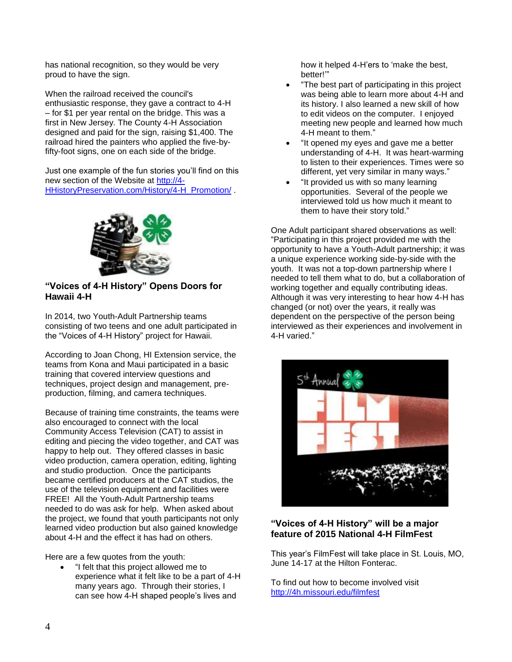has national recognition, so they would be very proud to have the sign.

When the railroad received the council's enthusiastic response, they gave a contract to 4-H – for \$1 per year rental on the bridge. This was a first in New Jersey. The County 4-H Association designed and paid for the sign, raising \$1,400. The railroad hired the painters who applied the five-byfifty-foot signs, one on each side of the bridge.

Just one example of the fun stories you'll find on this new section of the Website at [http://4-](http://4-hhistorypreservation.com/History/4-H_Promotion/) [HHistoryPreservation.com/History/4-H\\_Promotion/](http://4-hhistorypreservation.com/History/4-H_Promotion/).



# **"Voices of 4-H History" Opens Doors for Hawaii 4-H**

In 2014, two Youth-Adult Partnership teams consisting of two teens and one adult participated in the "Voices of 4-H History" project for Hawaii.

According to Joan Chong, HI Extension service, the teams from Kona and Maui participated in a basic training that covered interview questions and techniques, project design and management, preproduction, filming, and camera techniques.

Because of training time constraints, the teams were also encouraged to connect with the local Community Access Television (CAT) to assist in editing and piecing the video together, and CAT was happy to help out. They offered classes in basic video production, camera operation, editing, lighting and studio production. Once the participants became certified producers at the CAT studios, the use of the television equipment and facilities were FREE! All the Youth-Adult Partnership teams needed to do was ask for help. When asked about the project, we found that youth participants not only learned video production but also gained knowledge about 4-H and the effect it has had on others.

Here are a few quotes from the youth:

 "I felt that this project allowed me to experience what it felt like to be a part of 4-H many years ago. Through their stories, I can see how 4-H shaped people's lives and

how it helped 4-H'ers to 'make the best, better!'"

- "The best part of participating in this project was being able to learn more about 4-H and its history. I also learned a new skill of how to edit videos on the computer. I enjoyed meeting new people and learned how much 4-H meant to them."
- "It opened my eyes and gave me a better understanding of 4-H. It was heart-warming to listen to their experiences. Times were so different, yet very similar in many ways."
- "It provided us with so many learning opportunities. Several of the people we interviewed told us how much it meant to them to have their story told."

One Adult participant shared observations as well: "Participating in this project provided me with the opportunity to have a Youth-Adult partnership; it was a unique experience working side-by-side with the youth. It was not a top-down partnership where I needed to tell them what to do, but a collaboration of working together and equally contributing ideas. Although it was very interesting to hear how 4-H has changed (or not) over the years, it really was dependent on the perspective of the person being interviewed as their experiences and involvement in 4-H varied."



#### **"Voices of 4-H History" will be a major feature of 2015 National 4-H FilmFest**

This year's FilmFest will take place in St. Louis, MO, June 14-17 at the Hilton Fonterac.

To find out how to become involved visit <http://4h.missouri.edu/filmfest>